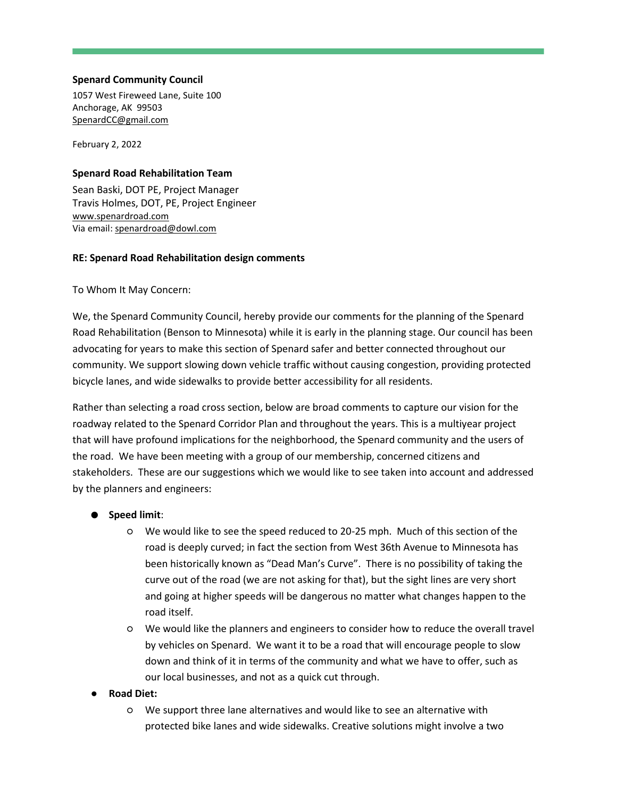## **Spenard Community Council**

1057 West Fireweed Lane, Suite 100 Anchorage, AK 99503 [SpenardCC@gmail.com](mailto:SpenardCC@gmail.com)

February 2, 2022

#### **Spenard Road Rehabilitation Team**

Sean Baski, DOT PE, Project Manager Travis Holmes, DOT, PE, Project Engineer [www.spenardroad.com](http://www.spenardroad.com/) Via email: [spenardroad@dowl.com](mailto:spenardroad@dowl.com)

## **RE: Spenard Road Rehabilitation design comments**

To Whom It May Concern:

We, the Spenard Community Council, hereby provide our comments for the planning of the Spenard Road Rehabilitation (Benson to Minnesota) while it is early in the planning stage. Our council has been advocating for years to make this section of Spenard safer and better connected throughout our community. We support slowing down vehicle traffic without causing congestion, providing protected bicycle lanes, and wide sidewalks to provide better accessibility for all residents.

Rather than selecting a road cross section, below are broad comments to capture our vision for the roadway related to the Spenard Corridor Plan and throughout the years. This is a multiyear project that will have profound implications for the neighborhood, the Spenard community and the users of the road. We have been meeting with a group of our membership, concerned citizens and stakeholders. These are our suggestions which we would like to see taken into account and addressed by the planners and engineers:

## ● **Speed limit**:

- We would like to see the speed reduced to 20-25 mph. Much of this section of the road is deeply curved; in fact the section from West 36th Avenue to Minnesota has been historically known as "Dead Man's Curve". There is no possibility of taking the curve out of the road (we are not asking for that), but the sight lines are very short and going at higher speeds will be dangerous no matter what changes happen to the road itself.
- We would like the planners and engineers to consider how to reduce the overall travel by vehicles on Spenard. We want it to be a road that will encourage people to slow down and think of it in terms of the community and what we have to offer, such as our local businesses, and not as a quick cut through.

#### ● **Road Diet:**

○ We support three lane alternatives and would like to see an alternative with protected bike lanes and wide sidewalks. Creative solutions might involve a two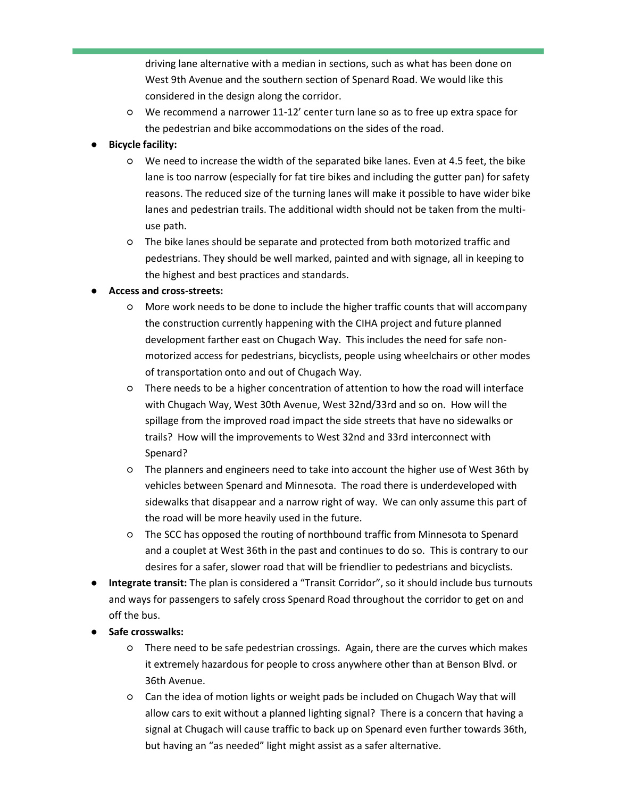driving lane alternative with a median in sections, such as what has been done on West 9th Avenue and the southern section of Spenard Road. We would like this considered in the design along the corridor.

○ We recommend a narrower 11-12' center turn lane so as to free up extra space for the pedestrian and bike accommodations on the sides of the road.

# **Bicycle facility:**

- We need to increase the width of the separated bike lanes. Even at 4.5 feet, the bike lane is too narrow (especially for fat tire bikes and including the gutter pan) for safety reasons. The reduced size of the turning lanes will make it possible to have wider bike lanes and pedestrian trails. The additional width should not be taken from the multiuse path.
- The bike lanes should be separate and protected from both motorized traffic and pedestrians. They should be well marked, painted and with signage, all in keeping to the highest and best practices and standards.

## ● **Access and cross-streets:**

- More work needs to be done to include the higher traffic counts that will accompany the construction currently happening with the CIHA project and future planned development farther east on Chugach Way. This includes the need for safe nonmotorized access for pedestrians, bicyclists, people using wheelchairs or other modes of transportation onto and out of Chugach Way.
- There needs to be a higher concentration of attention to how the road will interface with Chugach Way, West 30th Avenue, West 32nd/33rd and so on. How will the spillage from the improved road impact the side streets that have no sidewalks or trails? How will the improvements to West 32nd and 33rd interconnect with Spenard?
- The planners and engineers need to take into account the higher use of West 36th by vehicles between Spenard and Minnesota. The road there is underdeveloped with sidewalks that disappear and a narrow right of way. We can only assume this part of the road will be more heavily used in the future.
- The SCC has opposed the routing of northbound traffic from Minnesota to Spenard and a couplet at West 36th in the past and continues to do so. This is contrary to our desires for a safer, slower road that will be friendlier to pedestrians and bicyclists.
- **Integrate transit:** The plan is considered a "Transit Corridor", so it should include bus turnouts and ways for passengers to safely cross Spenard Road throughout the corridor to get on and off the bus.
- **Safe crosswalks:** 
	- There need to be safe pedestrian crossings. Again, there are the curves which makes it extremely hazardous for people to cross anywhere other than at Benson Blvd. or 36th Avenue.
	- Can the idea of motion lights or weight pads be included on Chugach Way that will allow cars to exit without a planned lighting signal? There is a concern that having a signal at Chugach will cause traffic to back up on Spenard even further towards 36th, but having an "as needed" light might assist as a safer alternative.